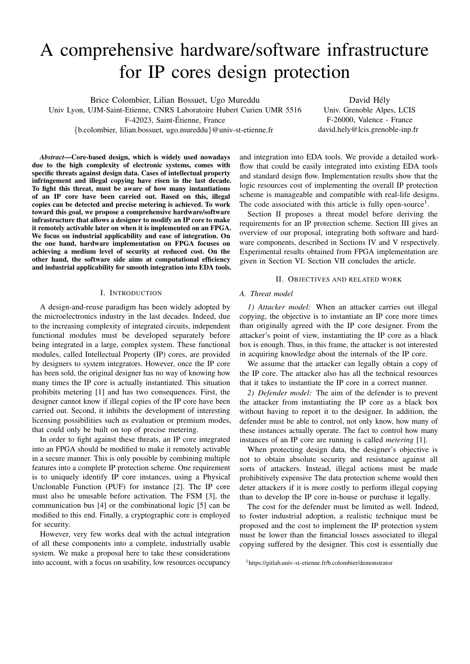# A comprehensive hardware/software infrastructure for IP cores design protection

Brice Colombier, Lilian Bossuet, Ugo Mureddu

Univ Lyon, UJM-Saint-Etienne, CNRS Laboratoire Hubert Curien UMR 5516 F-42023, Saint-Etienne, France ´ {b.colombier, lilian.bossuet, ugo.mureddu}@univ-st-etienne.fr

David Hély Univ. Grenoble Alpes, LCIS F-26000, Valence - France david.hely@lcis.grenoble-inp.fr

*Abstract*—Core-based design, which is widely used nowadays due to the high complexity of electronic systems, comes with specific threats against design data. Cases of intellectual property infringement and illegal copying have risen in the last decade. To fight this threat, must be aware of how many instantiations of an IP core have been carried out. Based on this, illegal copies can be detected and precise metering is achieved. To work toward this goal, we propose a comprehensive hardware/software infrastructure that allows a designer to modify an IP core to make it remotely activable later on when it is implemented on an FPGA. We focus on industrial applicability and ease of integration. On the one hand, hardware implementation on FPGA focuses on achieving a medium level of security at reduced cost. On the other hand, the software side aims at computational efficiency and industrial applicability for smooth integration into EDA tools.

## I. INTRODUCTION

A design-and-reuse paradigm has been widely adopted by the microelectronics industry in the last decades. Indeed, due to the increasing complexity of integrated circuits, independent functional modules must be developed separately before being integrated in a large, complex system. These functional modules, called Intellectual Property (IP) cores, are provided by designers to system integrators. However, once the IP core has been sold, the original designer has no way of knowing how many times the IP core is actually instantiated. This situation prohibits metering [1] and has two consequences. First, the designer cannot know if illegal copies of the IP core have been carried out. Second, it inhibits the development of interesting licensing possibilities such as evaluation or premium modes, that could only be built on top of precise metering.

In order to fight against these threats, an IP core integrated into an FPGA should be modified to make it remotely activable in a secure manner. This is only possible by combining multiple features into a complete IP protection scheme. One requirement is to uniquely identify IP core instances, using a Physical Unclonable Function (PUF) for instance [2]. The IP core must also be unusable before activation. The FSM [3], the communication bus [4] or the combinational logic [5] can be modified to this end. Finally, a cryptographic core is employed for security.

However, very few works deal with the actual integration of all these components into a complete, industrially usable system. We make a proposal here to take these considerations into account, with a focus on usability, low resources occupancy and integration into EDA tools. We provide a detailed workflow that could be easily integrated into existing EDA tools and standard design flow. Implementation results show that the logic resources cost of implementing the overall IP protection scheme is manageable and compatible with real-life designs. The code associated with this article is fully open-source<sup>1</sup>.

Section II proposes a threat model before deriving the requirements for an IP protection scheme. Section III gives an overview of our proposal, integrating both software and hardware components, described in Sections IV and V respectively. Experimental results obtained from FPGA implementation are given in Section VI. Section VII concludes the article.

## II. OBJECTIVES AND RELATED WORK

## *A. Threat model*

*1) Attacker model:* When an attacker carries out illegal copying, the objective is to instantiate an IP core more times than originally agreed with the IP core designer. From the attacker's point of view, instantiating the IP core as a black box is enough. Thus, in this frame, the attacker is not interested in acquiring knowledge about the internals of the IP core.

We assume that the attacker can legally obtain a copy of the IP core. The attacker also has all the technical resources that it takes to instantiate the IP core in a correct manner.

*2) Defender model:* The aim of the defender is to prevent the attacker from instantiating the IP core as a black box without having to report it to the designer. In addition, the defender must be able to control, not only know, how many of these instances actually operate. The fact to control how many instances of an IP core are running is called *metering* [1].

When protecting design data, the designer's objective is not to obtain absolute security and resistance against all sorts of attackers. Instead, illegal actions must be made prohibitively expensive The data protection scheme would then deter attackers if it is more costly to perform illegal copying than to develop the IP core in-house or purchase it legally.

The cost for the defender must be limited as well. Indeed, to foster industrial adoption, a realistic technique must be proposed and the cost to implement the IP protection system must be lower than the financial losses associated to illegal copying suffered by the designer. This cost is essentially due

<sup>1</sup>https://gitlab.univ-st-etienne.fr/b.colombier/demonstrator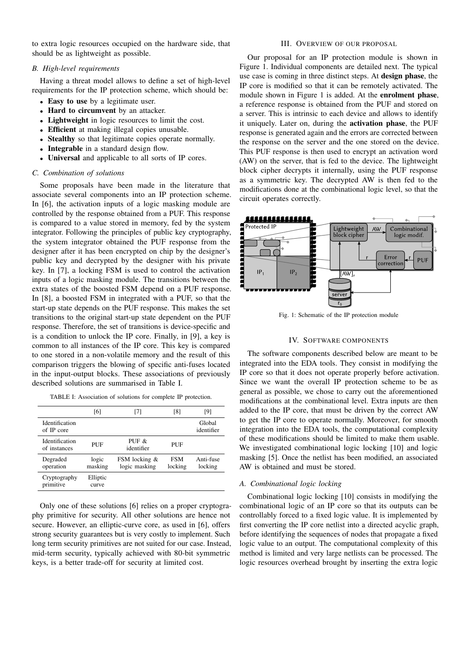to extra logic resources occupied on the hardware side, that should be as lightweight as possible.

# *B. High-level requirements*

Having a threat model allows to define a set of high-level requirements for the IP protection scheme, which should be:

- Easy to use by a legitimate user.
- Hard to circumvent by an attacker.
- Lightweight in logic resources to limit the cost.
- Efficient at making illegal copies unusable.
- Stealthy so that legitimate copies operate normally.
- Integrable in a standard design flow.
- Universal and applicable to all sorts of IP cores.

# *C. Combination of solutions*

Some proposals have been made in the literature that associate several components into an IP protection scheme. In [6], the activation inputs of a logic masking module are controlled by the response obtained from a PUF. This response is compared to a value stored in memory, fed by the system integrator. Following the principles of public key cryptography, the system integrator obtained the PUF response from the designer after it has been encrypted on chip by the designer's public key and decrypted by the designer with his private key. In [7], a locking FSM is used to control the activation inputs of a logic masking module. The transitions between the extra states of the boosted FSM depend on a PUF response. In [8], a boosted FSM in integrated with a PUF, so that the start-up state depends on the PUF response. This makes the set transitions to the original start-up state dependent on the PUF response. Therefore, the set of transitions is device-specific and is a condition to unlock the IP core. Finally, in [9], a key is common to all instances of the IP core. This key is compared to one stored in a non-volatile memory and the result of this comparison triggers the blowing of specific anti-fuses located in the input-output blocks. These associations of previously described solutions are summarised in Table I.

TABLE I: Association of solutions for complete IP protection.

|                                | [6]               | [7]                            | [8]                   | [9]                  |
|--------------------------------|-------------------|--------------------------------|-----------------------|----------------------|
| Identification<br>of IP core   |                   |                                |                       | Global<br>identifier |
| Identification<br>of instances | PUF               | PUF $\&$<br>identifier         | PUF                   |                      |
| Degraded<br>operation          | logic<br>masking  | FSM locking &<br>logic masking | <b>FSM</b><br>locking | Anti-fuse<br>locking |
| Cryptography<br>primitive      | Elliptic<br>curve |                                |                       |                      |

Only one of these solutions [6] relies on a proper cryptography primitive for security. All other solutions are hence not secure. However, an elliptic-curve core, as used in [6], offers strong security guarantees but is very costly to implement. Such long term security primitives are not suited for our case. Instead, mid-term security, typically achieved with 80-bit symmetric keys, is a better trade-off for security at limited cost.

# III. OVERVIEW OF OUR PROPOSAL

Our proposal for an IP protection module is shown in Figure 1. Individual components are detailed next. The typical use case is coming in three distinct steps. At design phase, the IP core is modified so that it can be remotely activated. The module shown in Figure 1 is added. At the enrolment phase, a reference response is obtained from the PUF and stored on a server. This is intrinsic to each device and allows to identify it uniquely. Later on, during the activation phase, the PUF response is generated again and the errors are corrected between the response on the server and the one stored on the device. This PUF response is then used to encrypt an activation word (AW) on the server, that is fed to the device. The lightweight block cipher decrypts it internally, using the PUF response as a symmetric key. The decrypted AW is then fed to the modifications done at the combinational logic level, so that the circuit operates correctly.



Fig. 1: Schematic of the IP protection module

# IV. SOFTWARE COMPONENTS

The software components described below are meant to be integrated into the EDA tools. They consist in modifying the IP core so that it does not operate properly before activation. Since we want the overall IP protection scheme to be as general as possible, we chose to carry out the aforementioned modifications at the combinational level. Extra inputs are then added to the IP core, that must be driven by the correct AW to get the IP core to operate normally. Moreover, for smooth integration into the EDA tools, the computational complexity of these modifications should be limited to make them usable. We investigated combinational logic locking [10] and logic masking [5]. Once the netlist has been modified, an associated AW is obtained and must be stored.

## *A. Combinational logic locking*

Combinational logic locking [10] consists in modifying the combinational logic of an IP core so that its outputs can be controllably forced to a fixed logic value. It is implemented by first converting the IP core netlist into a directed acyclic graph, before identifying the sequences of nodes that propagate a fixed logic value to an output. The computational complexity of this method is limited and very large netlists can be processed. The logic resources overhead brought by inserting the extra logic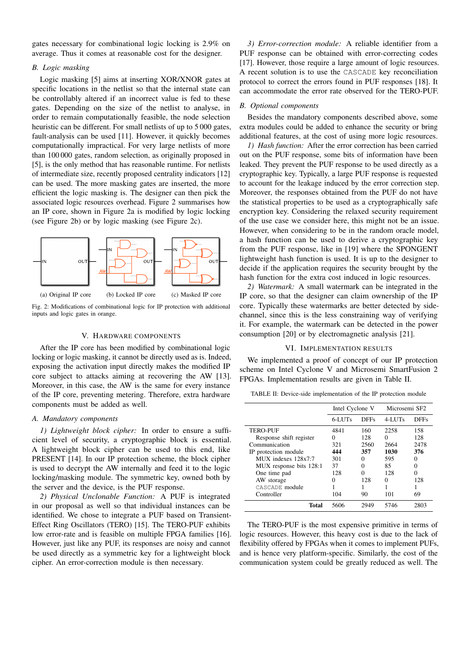gates necessary for combinational logic locking is 2.9% on average. Thus it comes at reasonable cost for the designer.

## *B. Logic masking*

Logic masking [5] aims at inserting XOR/XNOR gates at specific locations in the netlist so that the internal state can be controllably altered if an incorrect value is fed to these gates. Depending on the size of the netlist to analyse, in order to remain computationally feasible, the node selection heuristic can be different. For small netlists of up to 5 000 gates, fault-analysis can be used [11]. However, it quickly becomes computationally impractical. For very large netlists of more than 100 000 gates, random selection, as originally proposed in [5], is the only method that has reasonable runtime. For netlists of intermediate size, recently proposed centrality indicators [12] can be used. The more masking gates are inserted, the more efficient the logic masking is. The designer can then pick the associated logic resources overhead. Figure 2 summarises how an IP core, shown in Figure 2a is modified by logic locking (see Figure 2b) or by logic masking (see Figure 2c).



Fig. 2: Modifications of combinational logic for IP protection with additional inputs and logic gates in orange.

#### V. HARDWARE COMPONENTS

After the IP core has been modified by combinational logic locking or logic masking, it cannot be directly used as is. Indeed, exposing the activation input directly makes the modified IP core subject to attacks aiming at recovering the AW [13]. Moreover, in this case, the AW is the same for every instance of the IP core, preventing metering. Therefore, extra hardware components must be added as well.

# *A. Mandatory components*

*1) Lightweight block cipher:* In order to ensure a sufficient level of security, a cryptographic block is essential. A lightweight block cipher can be used to this end, like PRESENT [14]. In our IP protection scheme, the block cipher is used to decrypt the AW internally and feed it to the logic locking/masking module. The symmetric key, owned both by the server and the device, is the PUF response.

*2) Physical Unclonable Function:* A PUF is integrated in our proposal as well so that individual instances can be identified. We chose to integrate a PUF based on Transient-Effect Ring Oscillators (TERO) [15]. The TERO-PUF exhibits low error-rate and is feasible on multiple FPGA families [16]. However, just like any PUF, its responses are noisy and cannot be used directly as a symmetric key for a lightweight block cipher. An error-correction module is then necessary.

*3) Error-correction module:* A reliable identifier from a PUF response can be obtained with error-correcting codes [17]. However, those require a large amount of logic resources. A recent solution is to use the CASCADE key reconciliation protocol to correct the errors found in PUF responses [18]. It can accommodate the error rate observed for the TERO-PUF.

### *B. Optional components*

Besides the mandatory components described above, some extra modules could be added to enhance the security or bring additional features, at the cost of using more logic resources.

*1) Hash function:* After the error correction has been carried out on the PUF response, some bits of information have been leaked. They prevent the PUF response to be used directly as a cryptographic key. Typically, a large PUF response is requested to account for the leakage induced by the error correction step. Moreover, the responses obtained from the PUF do not have the statistical properties to be used as a cryptographically safe encryption key. Considering the relaxed security requirement of the use case we consider here, this might not be an issue. However, when considering to be in the random oracle model, a hash function can be used to derive a cryptographic key from the PUF response, like in [19] where the SPONGENT lightweight hash function is used. It is up to the designer to decide if the application requires the security brought by the hash function for the extra cost induced in logic resources.

*2) Watermark:* A small watermark can be integrated in the IP core, so that the designer can claim ownership of the IP core. Typically these watermarks are better detected by sidechannel, since this is the less constraining way of verifying it. For example, the watermark can be detected in the power consumption [20] or by electromagnetic analysis [21].

# VI. IMPLEMENTATION RESULTS

We implemented a proof of concept of our IP protection scheme on Intel Cyclone V and Microsemi SmartFusion 2 FPGAs. Implementation results are given in Table II.

TABLE II: Device-side implementation of the IP protection module

|                         | Intel Cyclone V |              | Microsemi SF2 |                   |
|-------------------------|-----------------|--------------|---------------|-------------------|
|                         | 6-LUTs          | <b>DFFs</b>  | $4 - LUTs$    | <b>DFFs</b>       |
| <b>TERO-PUF</b>         | 4841            | 160          | 2258          | 158               |
| Response shift register |                 | 128          | 0             | 128               |
| Communication           | 321             | 2560         | 2664          | 2478              |
| IP protection module    | 444             | 357          | 1030          | 376               |
| MUX indexes 128x7:7     | 301             | $\mathbf{0}$ | 595           | $\mathbf{\Omega}$ |
| MUX response bits 128:1 | 37              |              | 85            |                   |
| One time pad            | 128             |              | 128           |                   |
| AW storage              |                 | 128          | 0             | 128               |
| CASCADE module          |                 |              |               |                   |
| Controller              | 104             | 90           | 101           | 69                |
| Total                   | 5606            | 2949         | 5746          | 2803              |

The TERO-PUF is the most expensive primitive in terms of logic resources. However, this heavy cost is due to the lack of flexibility offered by FPGAs when it comes to implement PUFs, and is hence very platform-specific. Similarly, the cost of the communication system could be greatly reduced as well. The